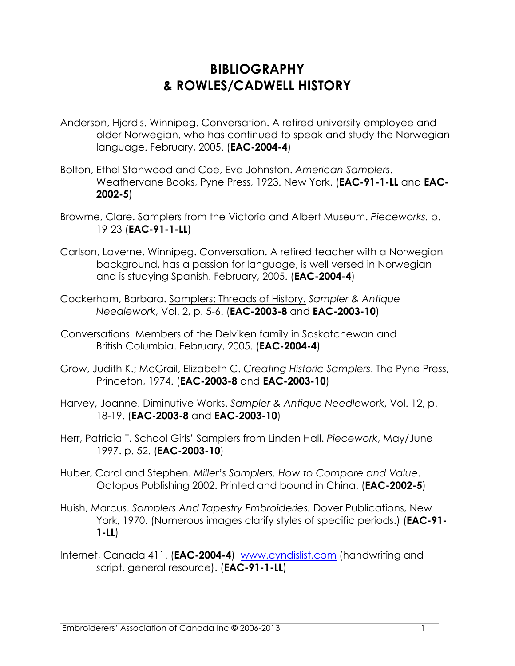## **BIBLIOGRAPHY & ROWLES/CADWELL HISTORY**

- Anderson, Hjordis. Winnipeg. Conversation. A retired university employee and older Norwegian, who has continued to speak and study the Norwegian language. February, 2005. (**EAC-2004-4**)
- Bolton, Ethel Stanwood and Coe, Eva Johnston. *American Samplers*. Weathervane Books, Pyne Press, 1923. New York. (**EAC-91-1-LL** and **EAC-2002-5**)
- Browme, Clare. Samplers from the Victoria and Albert Museum. *Pieceworks.* p. 19-23 (**EAC-91-1-LL**)
- Carlson, Laverne. Winnipeg. Conversation. A retired teacher with a Norwegian background, has a passion for language, is well versed in Norwegian and is studying Spanish. February, 2005. (**EAC-2004-4**)
- Cockerham, Barbara. Samplers: Threads of History. *Sampler & Antique Needlework*, Vol. 2, p. 5-6. (**EAC-2003-8** and **EAC-2003-10**)
- Conversations. Members of the Delviken family in Saskatchewan and British Columbia. February, 2005. (**EAC-2004-4**)
- Grow, Judith K.; McGrail, Elizabeth C. *Creating Historic Samplers*. The Pyne Press, Princeton, 1974. (**EAC-2003-8** and **EAC-2003-10**)
- Harvey, Joanne. Diminutive Works. *Sampler & Antique Needlework*, Vol. 12, p. 18-19. (**EAC-2003-8** and **EAC-2003-10**)
- Herr, Patricia T. School Girls' Samplers from Linden Hall. *Piecework*, May/June 1997. p. 52. (**EAC-2003-10**)
- Huber, Carol and Stephen. *Miller's Samplers. How to Compare and Value*. Octopus Publishing 2002. Printed and bound in China. (**EAC-2002-5**)
- Huish, Marcus. *Samplers And Tapestry Embroideries.* Dover Publications, New York, 1970. (Numerous images clarify styles of specific periods.) (**EAC-91- 1-LL**)
- Internet, Canada 411. (**EAC-2004-4**) www.cyndislist.com (handwriting and script, general resource). (**EAC-91-1-LL**)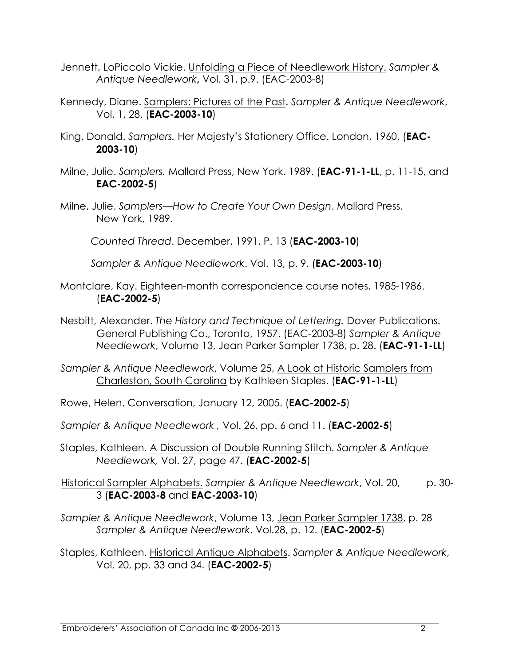- Jennett, LoPiccolo Vickie. Unfolding a Piece of Needlework History. *Sampler & Antique Needlework***,** Vol. 31, p.9. (EAC-2003-8)
- Kennedy, Diane. Samplers: Pictures of the Past. *Sampler & Antique Needlework*, Vol. 1, 28. (**EAC-2003-10**)
- King, Donald. *Samplers.* Her Majesty's Stationery Office. London, 1960. (**EAC-2003-10**)
- Milne, Julie. *Samplers.* Mallard Press, New York. 1989. (**EAC-91-1-LL**, p. 11-15, and **EAC-2002-5**)
- Milne, Julie. *Samplers—How to Create Your Own Design*. Mallard Press. New York, 1989.

*Counted Thread*. December, 1991, P. 13 (**EAC-2003-10**)

*Sampler & Antique Needlework*. Vol. 13, p. 9. (**EAC-2003-10**)

- Montclare, Kay. Eighteen-month correspondence course notes, 1985-1986. (**EAC-2002-5**)
- Nesbitt, Alexander. *The History and Technique of Lettering.* Dover Publications. General Publishing Co., Toronto, 1957. (EAC-2003-8) *Sampler & Antique Needlework*, Volume 13, Jean Parker Sampler 1738, p. 28. (**EAC-91-1-LL**)
- *Sampler & Antique Needlework*, Volume 25, A Look at Historic Samplers from Charleston, South Carolina by Kathleen Staples. (**EAC-91-1-LL**)
- Rowe, Helen. Conversation, January 12, 2005. (**EAC-2002-5**)
- *Sampler & Antique Needlework ,* Vol. 26, pp. 6 and 11. (**EAC-2002-5**)
- Staples, Kathleen. A Discussion of Double Running Stitch. *Sampler & Antique Needlework,* Vol. 27, page 47. (**EAC-2002-5**)

Historical Sampler Alphabets. *Sampler & Antique Needlework*, Vol. 20, p. 30- 3 (**EAC-2003-8** and **EAC-2003-10**)

*Sampler & Antique Needlework*, Volume 13, Jean Parker Sampler 1738, p. 28 *Sampler & Antique Needlework*. Vol.28, p. 12. (**EAC-2002-5**)

Staples, Kathleen. Historical Antique Alphabets. *Sampler & Antique Needlework*, Vol. 20, pp. 33 and 34. (**EAC-2002-5**)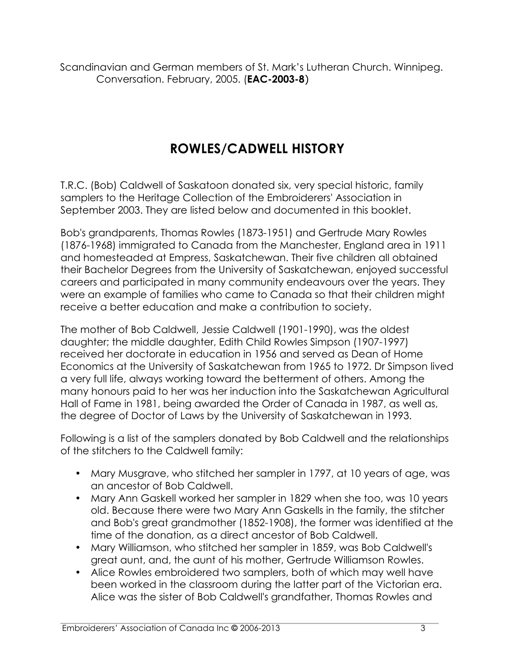Scandinavian and German members of St. Mark's Lutheran Church. Winnipeg. Conversation. February, 2005. (**EAC-2003-8**)

## **ROWLES/CADWELL HISTORY**

T.R.C. (Bob) Caldwell of Saskatoon donated six, very special historic, family samplers to the Heritage Collection of the Embroiderers' Association in September 2003. They are listed below and documented in this booklet.

Bob's grandparents, Thomas Rowles (1873-1951) and Gertrude Mary Rowles (1876-1968) immigrated to Canada from the Manchester, England area in 1911 and homesteaded at Empress, Saskatchewan. Their five children all obtained their Bachelor Degrees from the University of Saskatchewan, enjoyed successful careers and participated in many community endeavours over the years. They were an example of families who came to Canada so that their children might receive a better education and make a contribution to society.

The mother of Bob Caldwell, Jessie Caldwell (1901-1990), was the oldest daughter; the middle daughter, Edith Child Rowles Simpson (1907-1997) received her doctorate in education in 1956 and served as Dean of Home Economics at the University of Saskatchewan from 1965 to 1972. Dr Simpson lived a very full life, always working toward the betterment of others. Among the many honours paid to her was her induction into the Saskatchewan Agricultural Hall of Fame in 1981, being awarded the Order of Canada in 1987, as well as, the degree of Doctor of Laws by the University of Saskatchewan in 1993.

Following is a list of the samplers donated by Bob Caldwell and the relationships of the stitchers to the Caldwell family:

- Mary Musgrave, who stitched her sampler in 1797, at 10 years of age, was an ancestor of Bob Caldwell.
- Mary Ann Gaskell worked her sampler in 1829 when she too, was 10 years old. Because there were two Mary Ann Gaskells in the family, the stitcher and Bob's great grandmother (1852-1908), the former was identified at the time of the donation, as a direct ancestor of Bob Caldwell.
- Mary Williamson, who stitched her sampler in 1859, was Bob Caldwell's great aunt, and, the aunt of his mother, Gertrude Williamson Rowles.
- Alice Rowles embroidered two samplers, both of which may well have been worked in the classroom during the latter part of the Victorian era. Alice was the sister of Bob Caldwell's grandfather, Thomas Rowles and